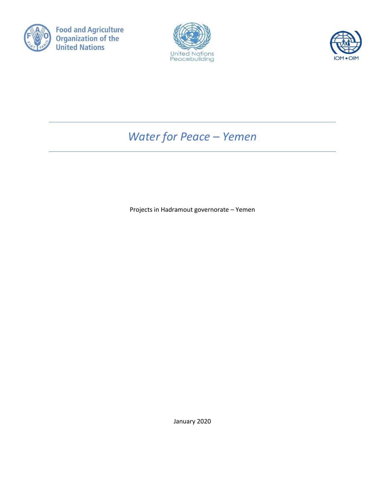





# *Water for Peace – Yemen*

Projects in Hadramout governorate – Yemen

January 2020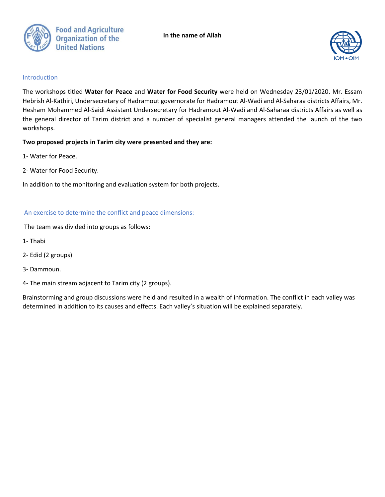



#### Introduction

The workshops titled **Water for Peace** and **Water for Food Security** were held on Wednesday 23/01/2020. Mr. Essam Hebrish Al-Kathiri, Undersecretary of Hadramout governorate for Hadramout Al-Wadi and Al-Saharaa districts Affairs, Mr. Hesham Mohammed Al-Saidi Assistant Undersecretary for Hadramout Al-Wadi and Al-Saharaa districts Affairs as well as the general director of Tarim district and a number of specialist general managers attended the launch of the two workshops.

#### **Two proposed projects in Tarim city were presented and they are:**

- 1- Water for Peace.
- 2- Water for Food Security.

In addition to the monitoring and evaluation system for both projects.

## An exercise to determine the conflict and peace dimensions:

The team was divided into groups as follows:

- 1- Thabi
- 2- Edid (2 groups)
- 3- Dammoun.
- 4- The main stream adjacent to Tarim city (2 groups).

Brainstorming and group discussions were held and resulted in a wealth of information. The conflict in each valley was determined in addition to its causes and effects. Each valley's situation will be explained separately.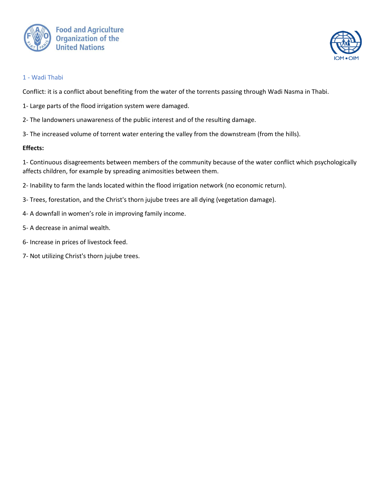



## 1 - Wadi Thabi

Conflict: it is a conflict about benefiting from the water of the torrents passing through Wadi Nasma in Thabi.

- 1- Large parts of the flood irrigation system were damaged.
- 2- The landowners unawareness of the public interest and of the resulting damage.
- 3- The increased volume of torrent water entering the valley from the downstream (from the hills).

#### **Effects:**

1- Continuous disagreements between members of the community because of the water conflict which psychologically affects children, for example by spreading animosities between them.

- 2- Inability to farm the lands located within the flood irrigation network (no economic return).
- 3- Trees, forestation, and the Christ's thorn jujube trees are all dying (vegetation damage).
- 4- A downfall in women's role in improving family income.
- 5- A decrease in animal wealth.
- 6- Increase in prices of livestock feed.
- 7- Not utilizing Christ's thorn jujube trees.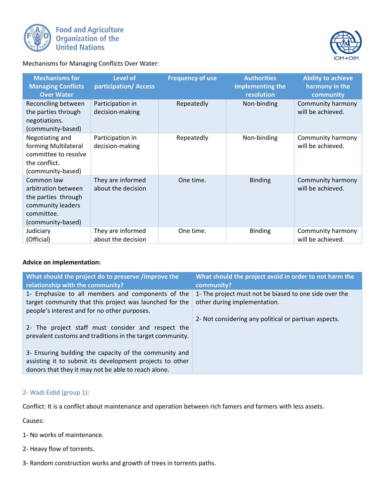



Mechanisms for Managing Conflicts Over Water:

| <b>Mechanisms for</b><br><b>Managing Conflicts</b><br><b>Over Water</b>                                          | Level of<br>participation/Access        | <b>Frequency of use</b> | <b>Authorities</b><br>implementing the<br>resolution | <b>Ability to achieve</b><br>harmony in the<br>community |
|------------------------------------------------------------------------------------------------------------------|-----------------------------------------|-------------------------|------------------------------------------------------|----------------------------------------------------------|
| Reconciling between<br>the parties through<br>negotiations.<br>(community-based)                                 | Participation in<br>decision-making     | Repeatedly              | Non-binding                                          | Community harmony<br>will be achieved.                   |
| Negotiating and<br>forming Multilateral<br>committee to resolve<br>the conflict.<br>(community-based)            | Participation in<br>decision-making     | Repeatedly              | Non-binding                                          | Community harmony<br>will be achieved.                   |
| Common law<br>arbitration between<br>the parties through<br>community leaders<br>committee.<br>(community-based) | They are informed<br>about the decision | One time.               | <b>Binding</b>                                       | Community harmony<br>will be achieved.                   |
| Judiciary<br>(Official)                                                                                          | They are informed<br>about the decision | One time.               | <b>Binding</b>                                       | Community harmony<br>will be achieved.                   |

#### **Advice on implementation:**

| What should the project do to preserve /improve the<br>relationship with the community?                                                                                   | What should the project avoid in order to not harm the<br>community?                   |
|---------------------------------------------------------------------------------------------------------------------------------------------------------------------------|----------------------------------------------------------------------------------------|
| 1- Emphasize to all members and components of the<br>target community that this project was launched for the<br>people's interest and for no other purposes.              | 1- The project must not be biased to one side over the<br>other during implementation. |
| 2- The project staff must consider and respect the<br>prevalent customs and traditions in the target community.                                                           | 2- Not considering any political or partisan aspects.                                  |
| 3- Ensuring building the capacity of the community and<br>assisting it to submit its development projects to other<br>donors that they it may not be able to reach alone. |                                                                                        |

# 2- Wadi Eidid (group 1):

Conflict: It is a conflict about maintenance and operation between rich famers and farmers with less assets.

Causes:

- 1- No works of maintenance.
- 2- Heavy flow of torrents.
- 3- Random construction works and growth of trees in torrents paths.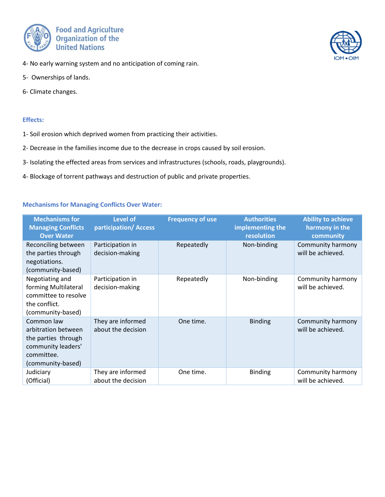



- 5- Ownerships of lands.
- 6- Climate changes.

#### **Effects:**

- 1- Soil erosion which deprived women from practicing their activities.
- 2- Decrease in the families income due to the decrease in crops caused by soil erosion.
- 3- Isolating the effected areas from services and infrastructures (schools, roads, playgrounds).
- 4- Blockage of torrent pathways and destruction of public and private properties.

#### **Mechanisms for Managing Conflicts Over Water:**

| <b>Mechanisms for</b><br><b>Managing Conflicts</b><br><b>Over Water</b>                                           | Level of<br>participation/Access        | <b>Frequency of use</b> | <b>Authorities</b><br>implementing the<br>resolution | <b>Ability to achieve</b><br>harmony in the<br>community |
|-------------------------------------------------------------------------------------------------------------------|-----------------------------------------|-------------------------|------------------------------------------------------|----------------------------------------------------------|
| Reconciling between<br>the parties through<br>negotiations.<br>(community-based)                                  | Participation in<br>decision-making     | Repeatedly              | Non-binding                                          | Community harmony<br>will be achieved.                   |
| Negotiating and<br>forming Multilateral<br>committee to resolve<br>the conflict.<br>(community-based)             | Participation in<br>decision-making     | Repeatedly              | Non-binding                                          | Community harmony<br>will be achieved.                   |
| Common law<br>arbitration between<br>the parties through<br>community leaders'<br>committee.<br>(community-based) | They are informed<br>about the decision | One time.               | <b>Binding</b>                                       | Community harmony<br>will be achieved.                   |
| Judiciary<br>(Official)                                                                                           | They are informed<br>about the decision | One time.               | <b>Binding</b>                                       | Community harmony<br>will be achieved.                   |

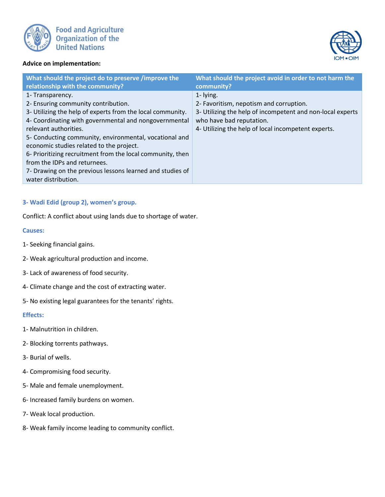



#### **Advice on implementation:**

| What should the project do to preserve /improve the                                                                                                                                                                                                                                                                                                                                                                                                                                             | What should the project avoid in order to not harm the                                                                                                                                                |
|-------------------------------------------------------------------------------------------------------------------------------------------------------------------------------------------------------------------------------------------------------------------------------------------------------------------------------------------------------------------------------------------------------------------------------------------------------------------------------------------------|-------------------------------------------------------------------------------------------------------------------------------------------------------------------------------------------------------|
| relationship with the community?                                                                                                                                                                                                                                                                                                                                                                                                                                                                | community?                                                                                                                                                                                            |
| 1- Transparency.<br>2- Ensuring community contribution.<br>3- Utilizing the help of experts from the local community.<br>4- Coordinating with governmental and nongovernmental<br>relevant authorities.<br>5- Conducting community, environmental, vocational and<br>economic studies related to the project.<br>6- Prioritizing recruitment from the local community, then<br>from the IDPs and returnees.<br>7- Drawing on the previous lessons learned and studies of<br>water distribution. | 1- lying.<br>2- Favoritism, nepotism and corruption.<br>3- Utilizing the help of incompetent and non-local experts<br>who have bad reputation.<br>4- Utilizing the help of local incompetent experts. |

#### **3- Wadi Edid (group 2), women's group.**

Conflict: A conflict about using lands due to shortage of water.

#### **Causes:**

- 1- Seeking financial gains.
- 2- Weak agricultural production and income.
- 3- Lack of awareness of food security.
- 4- Climate change and the cost of extracting water.
- 5- No existing legal guarantees for the tenants' rights.

#### **Effects:**

- 1- Malnutrition in children.
- 2- Blocking torrents pathways.
- 3- Burial of wells.
- 4- Compromising food security.
- 5- Male and female unemployment.
- 6- Increased family burdens on women.
- 7- Weak local production.
- 8- Weak family income leading to community conflict.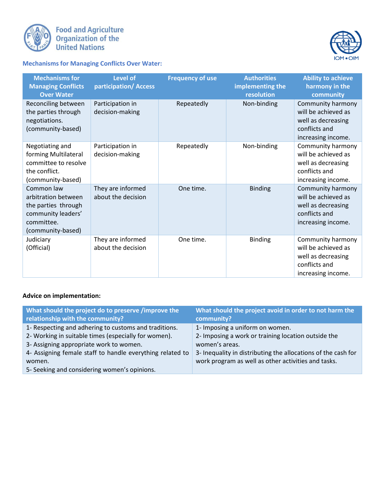

**Food and Agriculture<br>Organization of the<br>United Nations** 



**Mechanisms for Managing Conflicts Over Water:** 

| <b>Mechanisms for</b><br><b>Managing Conflicts</b><br><b>Over Water</b>                                           | <b>Level of</b><br>participation/Access | <b>Frequency of use</b> | <b>Authorities</b><br>implementing the<br>resolution | <b>Ability to achieve</b><br>harmony in the<br>community                                              |
|-------------------------------------------------------------------------------------------------------------------|-----------------------------------------|-------------------------|------------------------------------------------------|-------------------------------------------------------------------------------------------------------|
| Reconciling between<br>the parties through<br>negotiations.<br>(community-based)                                  | Participation in<br>decision-making     | Repeatedly              | Non-binding                                          | Community harmony<br>will be achieved as<br>well as decreasing<br>conflicts and<br>increasing income. |
| Negotiating and<br>forming Multilateral<br>committee to resolve<br>the conflict.<br>(community-based)             | Participation in<br>decision-making     | Repeatedly              | Non-binding                                          | Community harmony<br>will be achieved as<br>well as decreasing<br>conflicts and<br>increasing income. |
| Common law<br>arbitration between<br>the parties through<br>community leaders'<br>committee.<br>(community-based) | They are informed<br>about the decision | One time.               | <b>Binding</b>                                       | Community harmony<br>will be achieved as<br>well as decreasing<br>conflicts and<br>increasing income. |
| Judiciary<br>(Official)                                                                                           | They are informed<br>about the decision | One time.               | <b>Binding</b>                                       | Community harmony<br>will be achieved as<br>well as decreasing<br>conflicts and<br>increasing income. |

# **Advice on implementation:**

| What should the project do to preserve /improve the<br>relationship with the community? | What should the project avoid in order to not harm the<br>community? |
|-----------------------------------------------------------------------------------------|----------------------------------------------------------------------|
| 1- Respecting and adhering to customs and traditions.                                   | 1- Imposing a uniform on women.                                      |
| 2- Working in suitable times (especially for women).                                    | 2- Imposing a work or training location outside the                  |
| 3- Assigning appropriate work to women.                                                 | women's areas.                                                       |
| 4- Assigning female staff to handle everything related to                               | 3- Inequality in distributing the allocations of the cash for        |
| women.                                                                                  | work program as well as other activities and tasks.                  |
| 5- Seeking and considering women's opinions.                                            |                                                                      |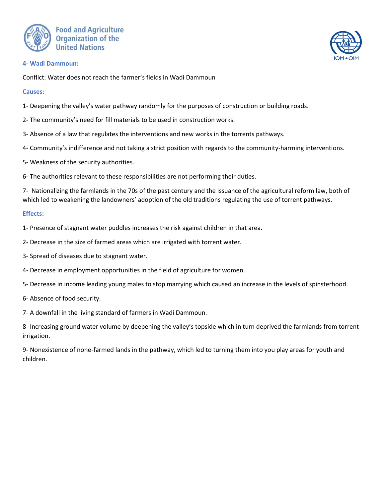



#### **4- Wadi Dammoun:**

Conflict: Water does not reach the farmer's fields in Wadi Dammoun

#### **Causes:**

- 1- Deepening the valley's water pathway randomly for the purposes of construction or building roads.
- 2- The community's need for fill materials to be used in construction works.
- 3- Absence of a law that regulates the interventions and new works in the torrents pathways.
- 4- Community's indifference and not taking a strict position with regards to the community-harming interventions.
- 5- Weakness of the security authorities.
- 6- The authorities relevant to these responsibilities are not performing their duties.

7- Nationalizing the farmlands in the 70s of the past century and the issuance of the agricultural reform law, both of which led to weakening the landowners' adoption of the old traditions regulating the use of torrent pathways.

#### **Effects:**

1- Presence of stagnant water puddles increases the risk against children in that area.

- 2- Decrease in the size of farmed areas which are irrigated with torrent water.
- 3- Spread of diseases due to stagnant water.
- 4- Decrease in employment opportunities in the field of agriculture for women.
- 5- Decrease in income leading young males to stop marrying which caused an increase in the levels of spinsterhood.
- 6- Absence of food security.
- 7- A downfall in the living standard of farmers in Wadi Dammoun.

8- Increasing ground water volume by deepening the valley's topside which in turn deprived the farmlands from torrent irrigation.

9- Nonexistence of none-farmed lands in the pathway, which led to turning them into you play areas for youth and children.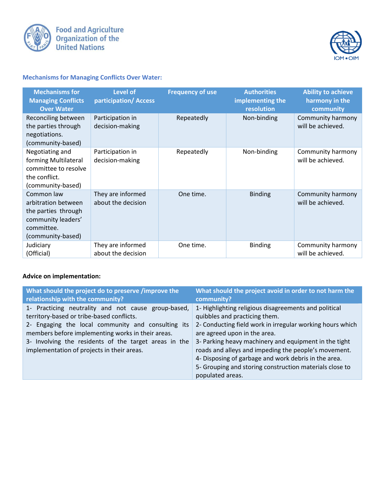



# **Mechanisms for Managing Conflicts Over Water:**

| <b>Mechanisms for</b><br><b>Managing Conflicts</b><br><b>Over Water</b>                                           | <b>Level of</b><br>participation/Access | <b>Frequency of use</b> | <b>Authorities</b><br>implementing the<br>resolution | <b>Ability to achieve</b><br>harmony in the<br>community |
|-------------------------------------------------------------------------------------------------------------------|-----------------------------------------|-------------------------|------------------------------------------------------|----------------------------------------------------------|
| Reconciling between<br>the parties through<br>negotiations.<br>(community-based)                                  | Participation in<br>decision-making     | Repeatedly              | Non-binding                                          | Community harmony<br>will be achieved.                   |
| Negotiating and<br>forming Multilateral<br>committee to resolve<br>the conflict.<br>(community-based)             | Participation in<br>decision-making     | Repeatedly              | Non-binding                                          | Community harmony<br>will be achieved.                   |
| Common law<br>arbitration between<br>the parties through<br>community leaders'<br>committee.<br>(community-based) | They are informed<br>about the decision | One time.               | <b>Binding</b>                                       | Community harmony<br>will be achieved.                   |
| Judiciary<br>(Official)                                                                                           | They are informed<br>about the decision | One time.               | <b>Binding</b>                                       | Community harmony<br>will be achieved.                   |

# **Advice on implementation:**

| What should the project do to preserve /improve the                                                                                                                                                                                                                                                                | What should the project avoid in order to not harm the                                                                                                                                                                                                                                                                                                                                                                                      |
|--------------------------------------------------------------------------------------------------------------------------------------------------------------------------------------------------------------------------------------------------------------------------------------------------------------------|---------------------------------------------------------------------------------------------------------------------------------------------------------------------------------------------------------------------------------------------------------------------------------------------------------------------------------------------------------------------------------------------------------------------------------------------|
| relationship with the community?                                                                                                                                                                                                                                                                                   | community?                                                                                                                                                                                                                                                                                                                                                                                                                                  |
| 1- Practicing neutrality and not cause group-based,<br>territory-based or tribe-based conflicts.<br>2- Engaging the local community and consulting its<br>members before implementing works in their areas.<br>3- Involving the residents of the target areas in the<br>implementation of projects in their areas. | 1- Highlighting religious disagreements and political<br>quibbles and practicing them.<br>2- Conducting field work in irregular working hours which<br>are agreed upon in the area.<br>3- Parking heavy machinery and equipment in the tight<br>roads and alleys and impeding the people's movement.<br>4- Disposing of garbage and work debris in the area.<br>5- Grouping and storing construction materials close to<br>populated areas. |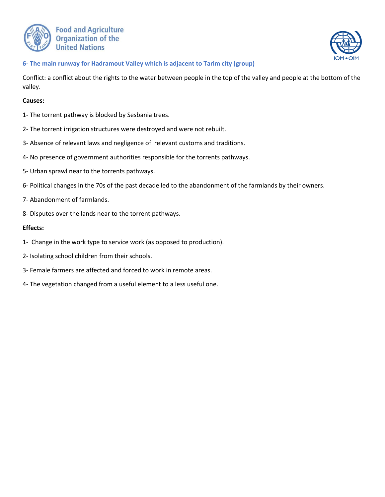



#### **6- The main runway for Hadramout Valley which is adjacent to Tarim city (group)**

Conflict: a conflict about the rights to the water between people in the top of the valley and people at the bottom of the valley.

#### **Causes:**

- 1- The torrent pathway is blocked by Sesbania trees.
- 2- The torrent irrigation structures were destroyed and were not rebuilt.
- 3- Absence of relevant laws and negligence of relevant customs and traditions.
- 4- No presence of government authorities responsible for the torrents pathways.
- 5- Urban sprawl near to the torrents pathways.
- 6- Political changes in the 70s of the past decade led to the abandonment of the farmlands by their owners.
- 7- Abandonment of farmlands.
- 8- Disputes over the lands near to the torrent pathways.

#### **Effects:**

- 1- Change in the work type to service work (as opposed to production).
- 2- Isolating school children from their schools.
- 3- Female farmers are affected and forced to work in remote areas.
- 4- The vegetation changed from a useful element to a less useful one.